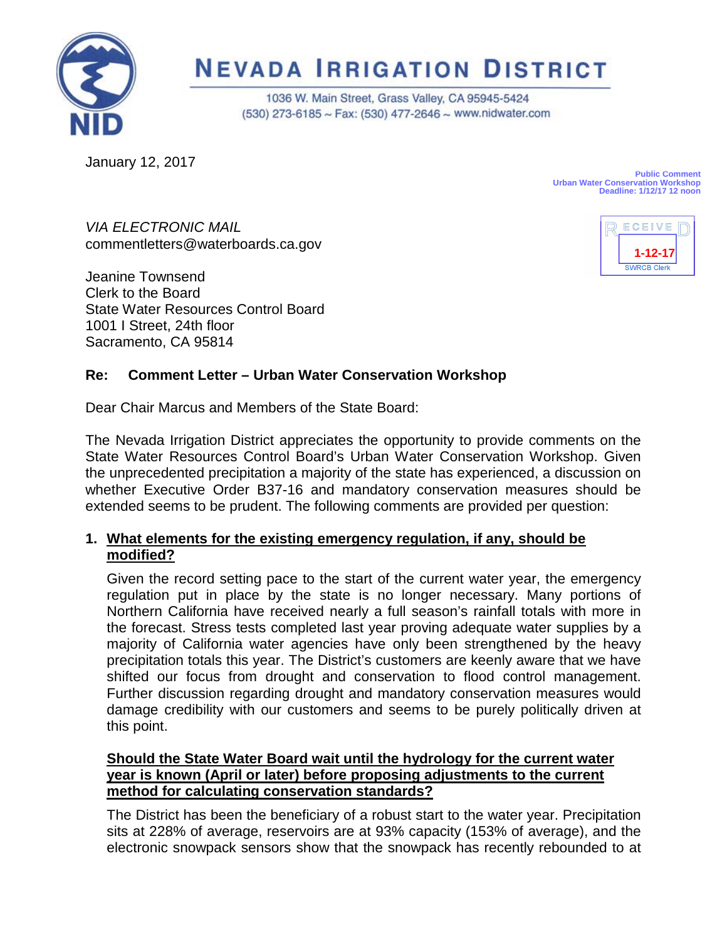

# **NEVADA IRRIGATION DISTRICT**

1036 W. Main Street, Grass Valley, CA 95945-5424 (530) 273-6185 ~ Fax: (530) 477-2646 ~ www.nidwater.com

January 12, 2017

**Public Comment Urban Water Conservation Workshop Deadline: 1/12/17 12 noon**

**1-12-17**

ECEIVE

*VIA ELECTRONIC MAIL* commentletters@waterboards.ca.gov

Jeanine Townsend Clerk to the Board State Water Resources Control Board 1001 I Street, 24th floor Sacramento, CA 95814

# **Re: Comment Letter – Urban Water Conservation Workshop**

Dear Chair Marcus and Members of the State Board:

The Nevada Irrigation District appreciates the opportunity to provide comments on the State Water Resources Control Board's Urban Water Conservation Workshop. Given the unprecedented precipitation a majority of the state has experienced, a discussion on whether Executive Order B37-16 and mandatory conservation measures should be extended seems to be prudent. The following comments are provided per question:

## **1. What elements for the existing emergency regulation, if any, should be modified?**

Given the record setting pace to the start of the current water year, the emergency regulation put in place by the state is no longer necessary. Many portions of Northern California have received nearly a full season's rainfall totals with more in the forecast. Stress tests completed last year proving adequate water supplies by a majority of California water agencies have only been strengthened by the heavy precipitation totals this year. The District's customers are keenly aware that we have shifted our focus from drought and conservation to flood control management. Further discussion regarding drought and mandatory conservation measures would damage credibility with our customers and seems to be purely politically driven at this point.

## **Should the State Water Board wait until the hydrology for the current water year is known (April or later) before proposing adjustments to the current method for calculating conservation standards?**

The District has been the beneficiary of a robust start to the water year. Precipitation sits at 228% of average, reservoirs are at 93% capacity (153% of average), and the electronic snowpack sensors show that the snowpack has recently rebounded to at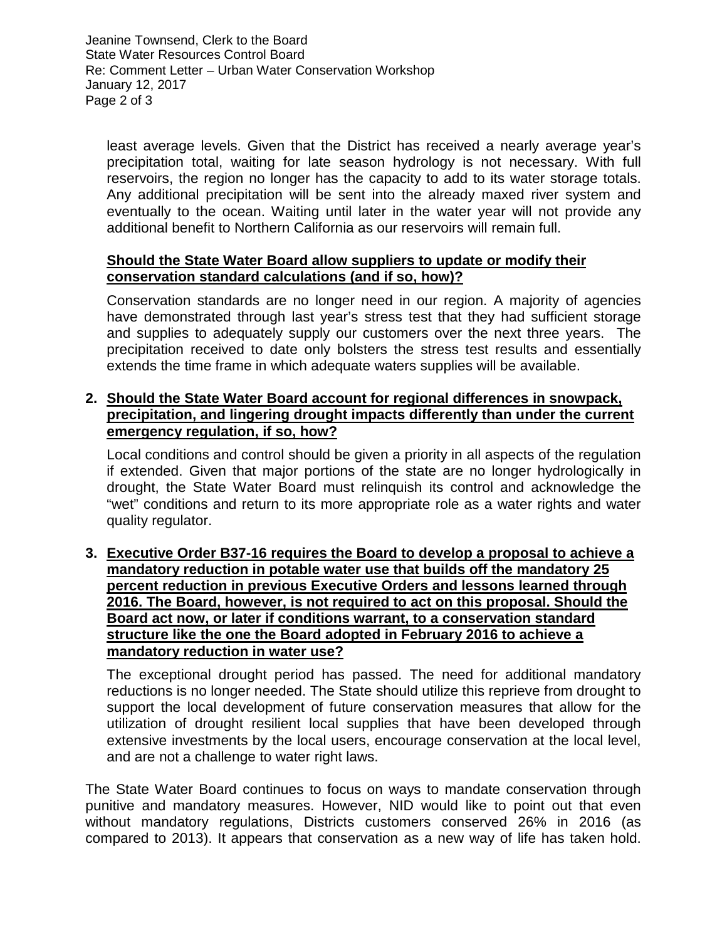Jeanine Townsend, Clerk to the Board State Water Resources Control Board Re: Comment Letter – Urban Water Conservation Workshop January 12, 2017 Page 2 of 3

least average levels. Given that the District has received a nearly average year's precipitation total, waiting for late season hydrology is not necessary. With full reservoirs, the region no longer has the capacity to add to its water storage totals. Any additional precipitation will be sent into the already maxed river system and eventually to the ocean. Waiting until later in the water year will not provide any additional benefit to Northern California as our reservoirs will remain full.

#### **Should the State Water Board allow suppliers to update or modify their conservation standard calculations (and if so, how)?**

Conservation standards are no longer need in our region. A majority of agencies have demonstrated through last year's stress test that they had sufficient storage and supplies to adequately supply our customers over the next three years. The precipitation received to date only bolsters the stress test results and essentially extends the time frame in which adequate waters supplies will be available.

#### **2. Should the State Water Board account for regional differences in snowpack, precipitation, and lingering drought impacts differently than under the current emergency regulation, if so, how?**

Local conditions and control should be given a priority in all aspects of the regulation if extended. Given that major portions of the state are no longer hydrologically in drought, the State Water Board must relinquish its control and acknowledge the "wet" conditions and return to its more appropriate role as a water rights and water quality regulator.

#### **3. Executive Order B37-16 requires the Board to develop a proposal to achieve a mandatory reduction in potable water use that builds off the mandatory 25 percent reduction in previous Executive Orders and lessons learned through 2016. The Board, however, is not required to act on this proposal. Should the Board act now, or later if conditions warrant, to a conservation standard structure like the one the Board adopted in February 2016 to achieve a mandatory reduction in water use?**

The exceptional drought period has passed. The need for additional mandatory reductions is no longer needed. The State should utilize this reprieve from drought to support the local development of future conservation measures that allow for the utilization of drought resilient local supplies that have been developed through extensive investments by the local users, encourage conservation at the local level, and are not a challenge to water right laws.

The State Water Board continues to focus on ways to mandate conservation through punitive and mandatory measures. However, NID would like to point out that even without mandatory regulations, Districts customers conserved 26% in 2016 (as compared to 2013). It appears that conservation as a new way of life has taken hold.